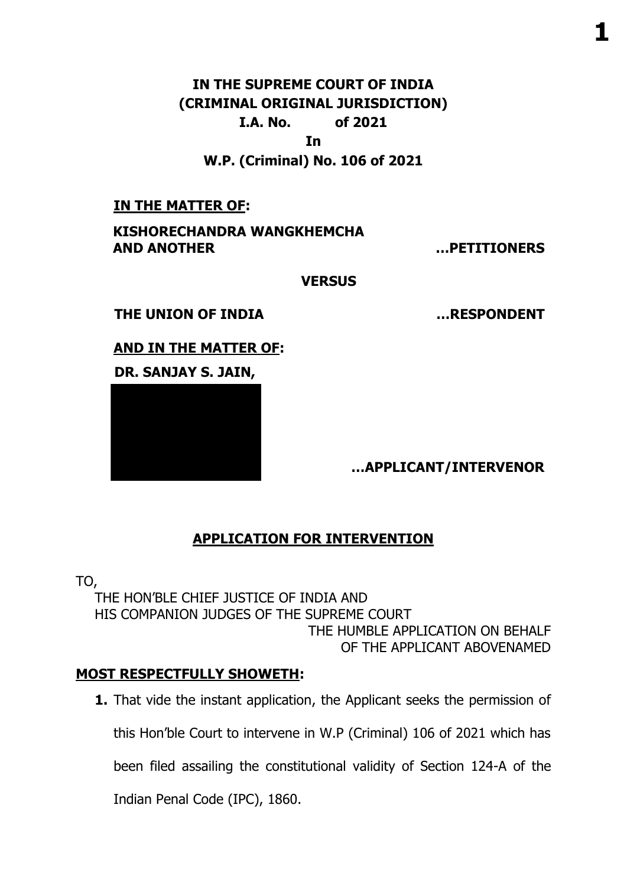**IN THE SUPREME COURT OF INDIA (CRIMINAL ORIGINAL JURISDICTION) I.A. No. of 2021 In** 

**W.P. (Criminal) No. 106 of 2021**

### **IN THE MATTER OF:**

#### **KISHORECHANDRA WANGKHEMCHA AND ANOTHER …PETITIONERS**

#### **VERSUS**

#### **THE UNION OF INDIA …RESPONDENT**

**AND IN THE MATTER OF:**

**DR. SANJAY S. JAIN,**



Karve Nagar, Pune. **…APPLICANT/INTERVENOR**

# **APPLICATION FOR INTERVENTION**

TO,

THE HON'BLE CHIEF JUSTICE OF INDIA AND HIS COMPANION JUDGES OF THE SUPREME COURT THE HUMBLE APPLICATION ON BEHALF OF THE APPLICANT ABOVENAMED

# **MOST RESPECTFULLY SHOWETH:**

**1.** That vide the instant application, the Applicant seeks the permission of

this Hon'ble Court to intervene in W.P (Criminal) 106 of 2021 which has

been filed assailing the constitutional validity of Section 124-A of the

Indian Penal Code (IPC), 1860.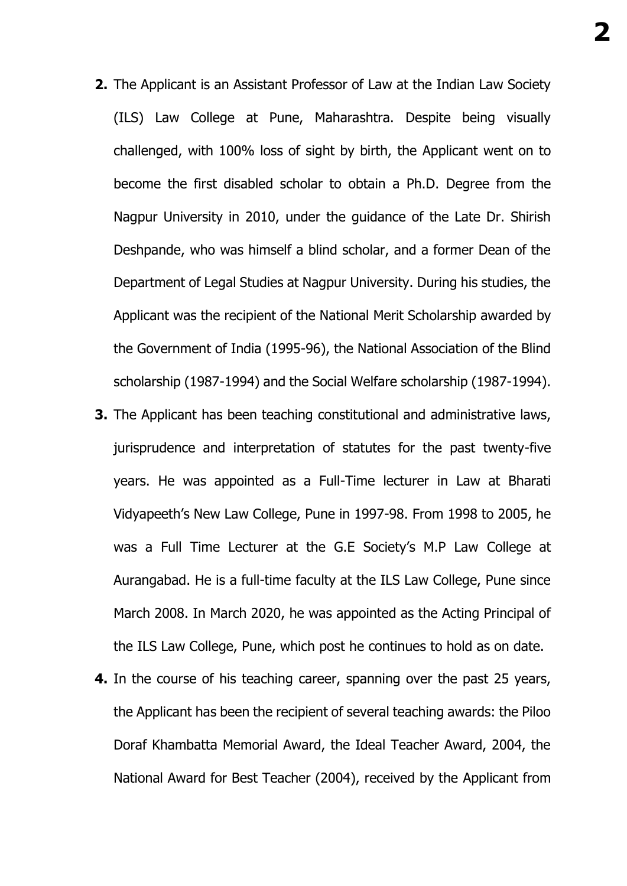- **2.** The Applicant is an Assistant Professor of Law at the Indian Law Society (ILS) Law College at Pune, Maharashtra. Despite being visually challenged, with 100% loss of sight by birth, the Applicant went on to become the first disabled scholar to obtain a Ph.D. Degree from the Nagpur University in 2010, under the guidance of the Late Dr. Shirish Deshpande, who was himself a blind scholar, and a former Dean of the Department of Legal Studies at Nagpur University. During his studies, the Applicant was the recipient of the National Merit Scholarship awarded by the Government of India (1995-96), the National Association of the Blind scholarship (1987-1994) and the Social Welfare scholarship (1987-1994).
- **3.** The Applicant has been teaching constitutional and administrative laws, jurisprudence and interpretation of statutes for the past twenty-five years. He was appointed as a Full-Time lecturer in Law at Bharati Vidyapeeth's New Law College, Pune in 1997-98. From 1998 to 2005, he was a Full Time Lecturer at the G.E Society's M.P Law College at Aurangabad. He is a full-time faculty at the ILS Law College, Pune since March 2008. In March 2020, he was appointed as the Acting Principal of the ILS Law College, Pune, which post he continues to hold as on date.
- **4.** In the course of his teaching career, spanning over the past 25 years, the Applicant has been the recipient of several teaching awards: the Piloo Doraf Khambatta Memorial Award, the Ideal Teacher Award, 2004, the National Award for Best Teacher (2004), received by the Applicant from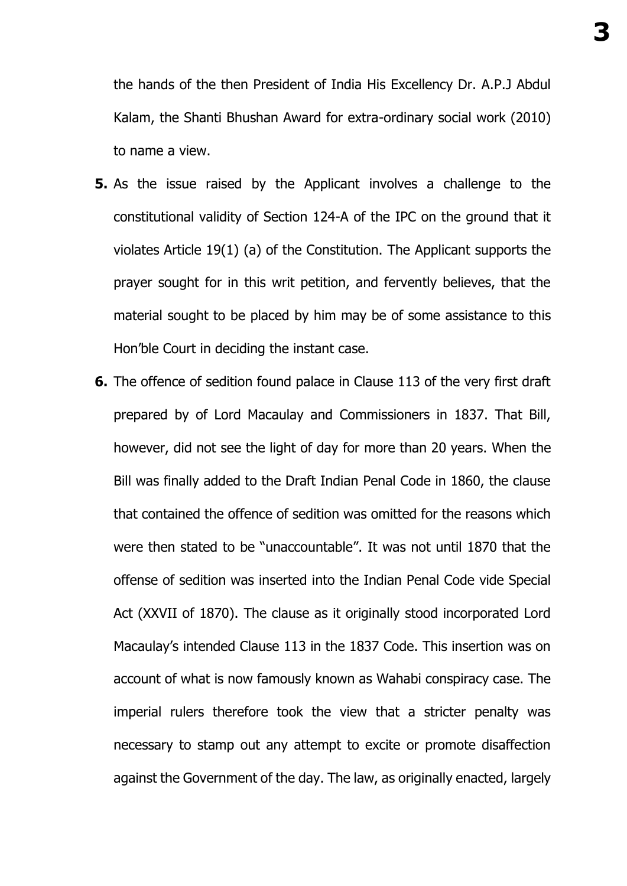the hands of the then President of India His Excellency Dr. A.P.J Abdul Kalam, the Shanti Bhushan Award for extra-ordinary social work (2010) to name a view.

- **5.** As the issue raised by the Applicant involves a challenge to the constitutional validity of Section 124-A of the IPC on the ground that it violates Article 19(1) (a) of the Constitution. The Applicant supports the prayer sought for in this writ petition, and fervently believes, that the material sought to be placed by him may be of some assistance to this Hon'ble Court in deciding the instant case.
- **6.** The offence of sedition found palace in Clause 113 of the very first draft prepared by of Lord Macaulay and Commissioners in 1837. That Bill, however, did not see the light of day for more than 20 years. When the Bill was finally added to the Draft Indian Penal Code in 1860, the clause that contained the offence of sedition was omitted for the reasons which were then stated to be "unaccountable". It was not until 1870 that the offense of sedition was inserted into the Indian Penal Code vide Special Act (XXVII of 1870). The clause as it originally stood incorporated Lord Macaulay's intended Clause 113 in the 1837 Code. This insertion was on account of what is now famously known as Wahabi conspiracy case. The imperial rulers therefore took the view that a stricter penalty was necessary to stamp out any attempt to excite or promote disaffection against the Government of the day. The law, as originally enacted, largely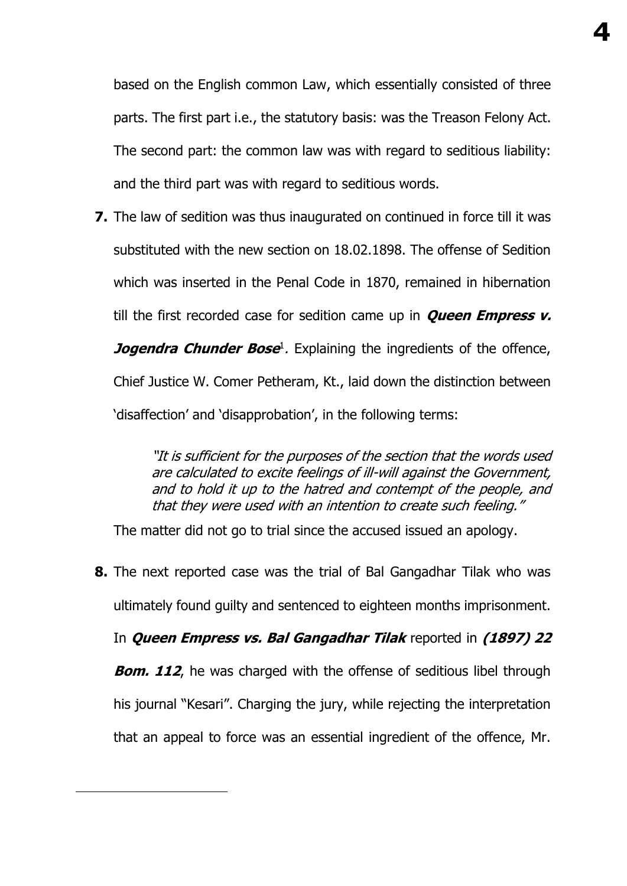based on the English common Law, which essentially consisted of three parts. The first part i.e., the statutory basis: was the Treason Felony Act. The second part: the common law was with regard to seditious liability: and the third part was with regard to seditious words.

**7.** The law of sedition was thus inaugurated on continued in force till it was substituted with the new section on 18.02.1898. The offense of Sedition which was inserted in the Penal Code in 1870, remained in hibernation till the first recorded case for sedition came up in **Queen Empress v. Jogendra Chunder Bose**<sup>1</sup>. Explaining the ingredients of the offence, Chief Justice W. Comer Petheram, Kt., laid down the distinction between 'disaffection' and 'disapprobation', in the following terms:

> "It is sufficient for the purposes of the section that the words used are calculated to excite feelings of ill-will against the Government, and to hold it up to the hatred and contempt of the people, and that they were used with an intention to create such feeling."

The matter did not go to trial since the accused issued an apology.

**8.** The next reported case was the trial of Bal Gangadhar Tilak who was ultimately found guilty and sentenced to eighteen months imprisonment.

In **Queen Empress vs. Bal Gangadhar Tilak** reported in **(1897) 22** 

**Bom. 112**, he was charged with the offense of seditious libel through his journal "Kesari". Charging the jury, while rejecting the interpretation that an appeal to force was an essential ingredient of the offence, Mr.

**.**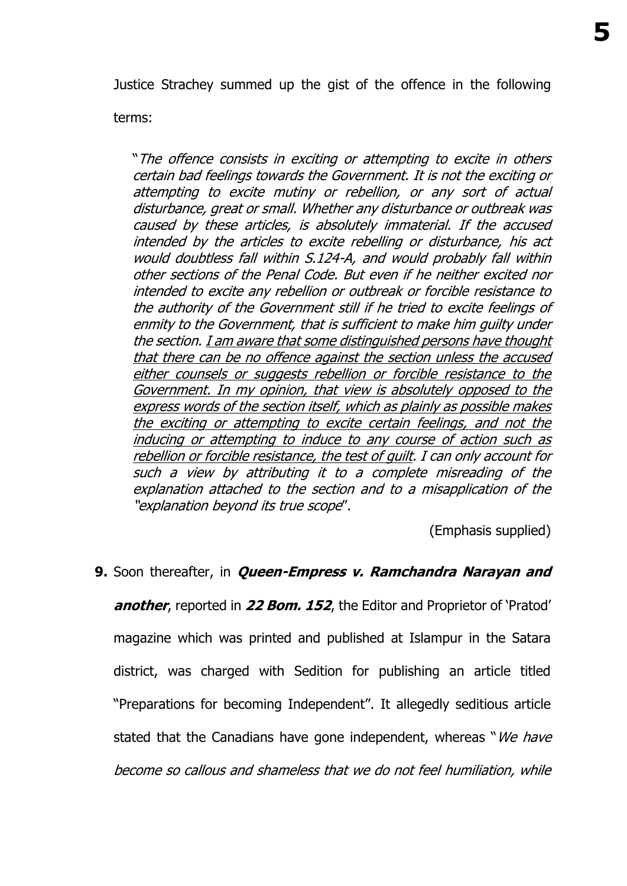Justice Strachey summed up the gist of the offence in the following

terms:

"The offence consists in exciting or attempting to excite in others certain bad feelings towards the Government. It is not the exciting or attempting to excite mutiny or rebellion, or any sort of actual disturbance, great or small. Whether any disturbance or outbreak was caused by these articles, is absolutely immaterial. If the accused intended by the articles to excite rebelling or disturbance, his act would doubtless fall within S.124-A, and would probably fall within other sections of the Penal Code. But even if he neither excited nor intended to excite any rebellion or outbreak or forcible resistance to the authority of the Government still if he tried to excite feelings of enmity to the Government, that is sufficient to make him guilty under the section. I am aware that some distinguished persons have thought that there can be no offence against the section unless the accused either counsels or suggests rebellion or forcible resistance to the Government. In my opinion, that view is absolutely opposed to the express words of the section itself, which as plainly as possible makes the exciting or attempting to excite certain feelings, and not the inducing or attempting to induce to any course of action such as rebellion or forcible resistance, the test of guilt. I can only account for such a view by attributing it to a complete misreading of the explanation attached to the section and to a misapplication of the "explanation beyond its true scope".

(Emphasis supplied)

**9.** Soon thereafter, in **Queen-Empress v. Ramchandra Narayan and another**, reported in **22 Bom. 152**, the Editor and Proprietor of 'Pratod' magazine which was printed and published at Islampur in the Satara district, was charged with Sedition for publishing an article titled "Preparations for becoming Independent". It allegedly seditious article stated that the Canadians have gone independent, whereas "We have become so callous and shameless that we do not feel humiliation, while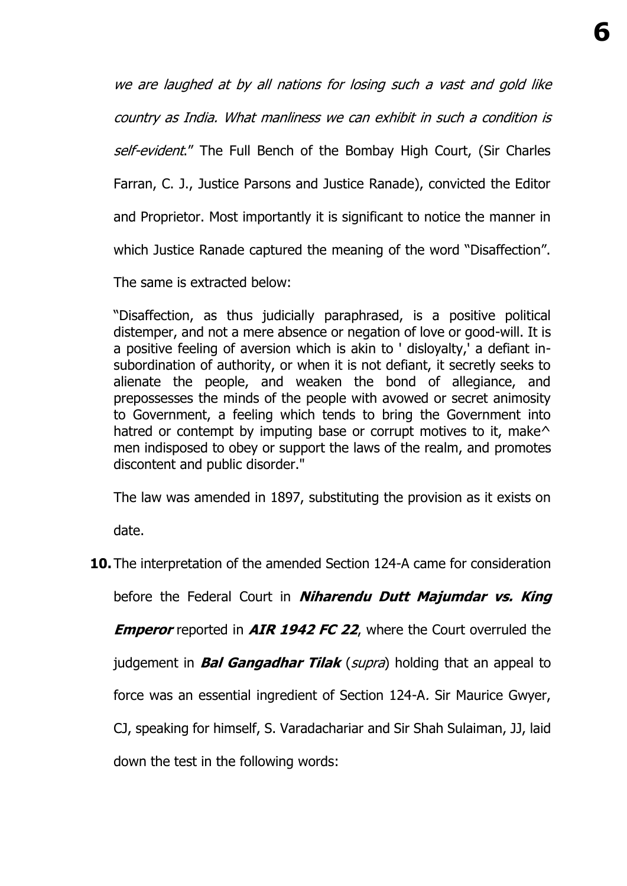we are laughed at by all nations for losing such a vast and gold like country as India. What manliness we can exhibit in such a condition is self-evident." The Full Bench of the Bombay High Court, (Sir Charles Farran, C. J., Justice Parsons and Justice Ranade), convicted the Editor and Proprietor. Most importantly it is significant to notice the manner in which Justice Ranade captured the meaning of the word "Disaffection".

The same is extracted below:

"Disaffection, as thus judicially paraphrased, is a positive political distemper, and not a mere absence or negation of love or good-will. It is a positive feeling of aversion which is akin to ' disloyalty,' a defiant insubordination of authority, or when it is not defiant, it secretly seeks to alienate the people, and weaken the bond of allegiance, and prepossesses the minds of the people with avowed or secret animosity to Government, a feeling which tends to bring the Government into hatred or contempt by imputing base or corrupt motives to it, make  $\sim$ men indisposed to obey or support the laws of the realm, and promotes discontent and public disorder."

The law was amended in 1897, substituting the provision as it exists on

date.

**10.**The interpretation of the amended Section 124-A came for consideration

before the Federal Court in **Niharendu Dutt Majumdar vs. King** 

**Emperor** reported in **AIR 1942 FC 22**, where the Court overruled the

judgement in **Bal Gangadhar Tilak** (*supra*) holding that an appeal to

force was an essential ingredient of Section 124-A. Sir Maurice Gwyer,

CJ, speaking for himself, S. Varadachariar and Sir Shah Sulaiman, JJ, laid

down the test in the following words: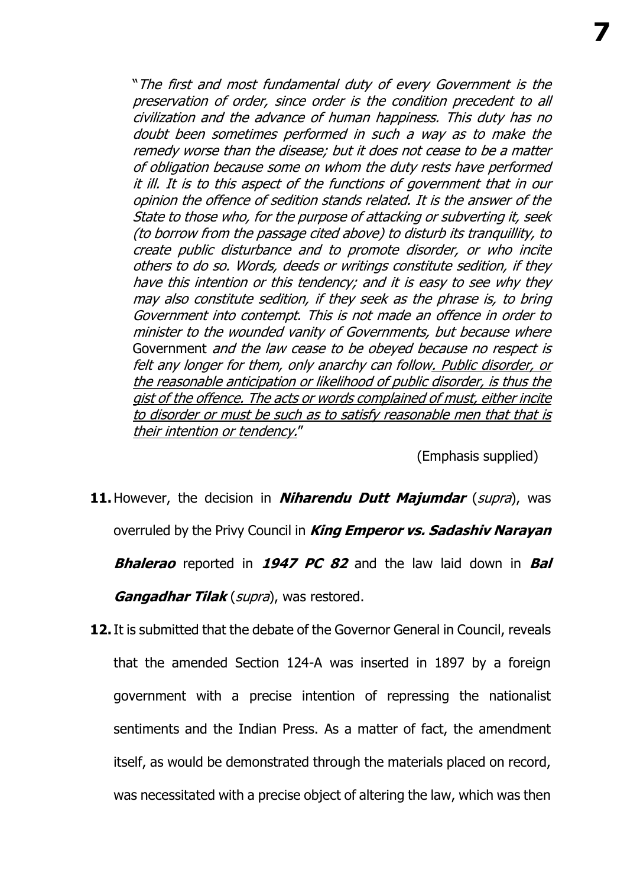"The first and most fundamental duty of every Government is the preservation of order, since order is the condition precedent to all civilization and the advance of human happiness. This duty has no doubt been sometimes performed in such a way as to make the remedy worse than the disease; but it does not cease to be a matter of obligation because some on whom the duty rests have performed it ill. It is to this aspect of the functions of government that in our opinion the offence of sedition stands related. It is the answer of the State to those who, for the purpose of attacking or subverting it, seek (to borrow from the passage cited above) to disturb its tranquillity, to create public disturbance and to promote disorder, or who incite others to do so. Words, deeds or writings constitute sedition, if they have this intention or this tendency; and it is easy to see why they may also constitute sedition, if they seek as the phrase is, to bring Government into contempt. This is not made an offence in order to minister to the wounded vanity of Governments, but because where Government and the law cease to be obeyed because no respect is felt any longer for them, only anarchy can follow. Public disorder, or the reasonable anticipation or likelihood of public disorder, is thus the gist of the offence. The acts or words complained of must, either incite to disorder or must be such as to satisfy reasonable men that that is their intention or tendency."

(Emphasis supplied)

- **11.**However, the decision in **Niharendu Dutt Majumdar** (supra), was overruled by the Privy Council in **King Emperor vs. Sadashiv Narayan Bhalerao** reported in **1947 PC 82** and the law laid down in **Bal Gangadhar Tilak** (supra), was restored.
- **12.**It is submitted that the debate of the Governor General in Council, reveals that the amended Section 124-A was inserted in 1897 by a foreign government with a precise intention of repressing the nationalist sentiments and the Indian Press. As a matter of fact, the amendment itself, as would be demonstrated through the materials placed on record, was necessitated with a precise object of altering the law, which was then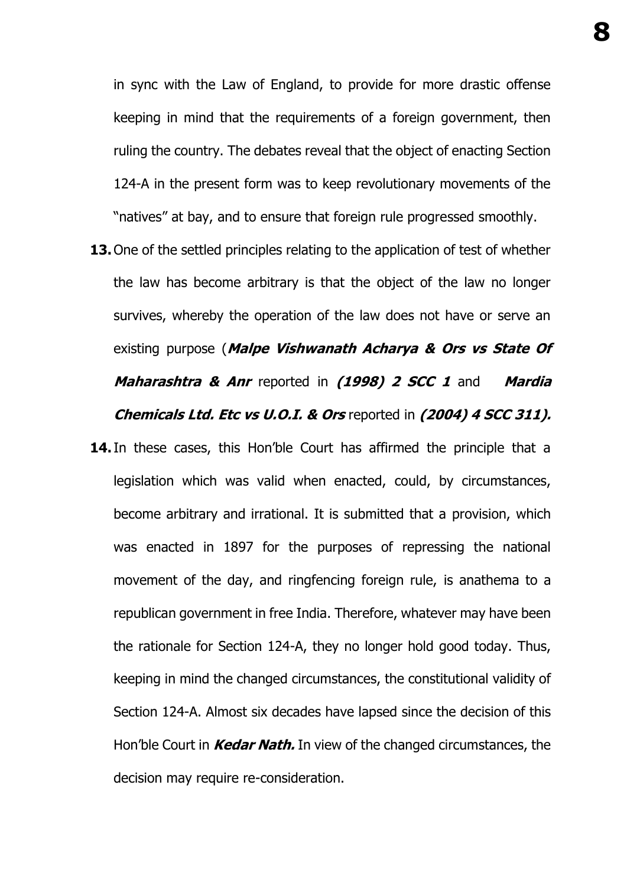in sync with the Law of England, to provide for more drastic offense keeping in mind that the requirements of a foreign government, then ruling the country. The debates reveal that the object of enacting Section 124-A in the present form was to keep revolutionary movements of the "natives" at bay, and to ensure that foreign rule progressed smoothly.

- **13.**One of the settled principles relating to the application of test of whether the law has become arbitrary is that the object of the law no longer survives, whereby the operation of the law does not have or serve an existing purpose (**Malpe Vishwanath Acharya & Ors vs State Of Maharashtra & Anr** reported in **(1998) 2 SCC 1** and **Mardia Chemicals Ltd. Etc vs U.O.I. & Ors** reported in **(2004) 4 SCC 311).**
- **14.**In these cases, this Hon'ble Court has affirmed the principle that a legislation which was valid when enacted, could, by circumstances, become arbitrary and irrational. It is submitted that a provision, which was enacted in 1897 for the purposes of repressing the national movement of the day, and ringfencing foreign rule, is anathema to a republican government in free India. Therefore, whatever may have been the rationale for Section 124-A, they no longer hold good today. Thus, keeping in mind the changed circumstances, the constitutional validity of Section 124-A. Almost six decades have lapsed since the decision of this Hon'ble Court in **Kedar Nath.** In view of the changed circumstances, the decision may require re-consideration.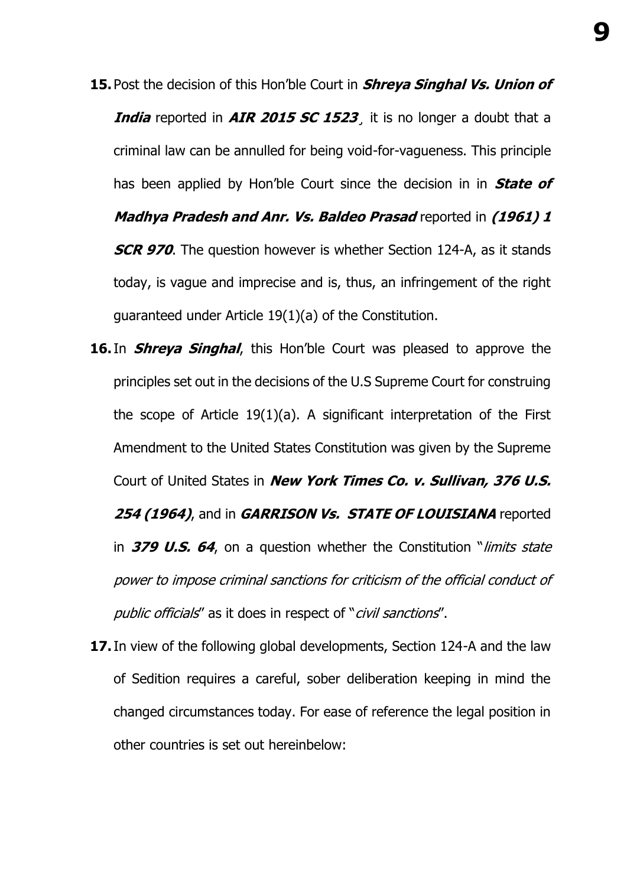- **15.** Post the decision of this Hon'ble Court in **Shreya Singhal Vs. Union of India** reported in **AIR 2015 SC 1523**, it is no longer a doubt that a criminal law can be annulled for being void-for-vagueness. This principle has been applied by Hon'ble Court since the decision in in **State of Madhya Pradesh and Anr. Vs. Baldeo Prasad** reported in **(1961) 1 SCR 970.** The question however is whether Section 124-A, as it stands today, is vague and imprecise and is, thus, an infringement of the right guaranteed under Article 19(1)(a) of the Constitution.
- **16.** In **Shreya Singhal**, this Hon'ble Court was pleased to approve the principles set out in the decisions of the U.S Supreme Court for construing the scope of Article 19(1)(a). A significant interpretation of the First Amendment to the United States Constitution was given by the Supreme Court of United States in **New York Times Co. v. Sullivan, 376 U.S. 254 (1964)**, and in **GARRISON Vs. STATE OF LOUISIANA** reported in **379 U.S. 64**, on a question whether the Constitution "*limits state* power to impose criminal sanctions for criticism of the official conduct of public officials" as it does in respect of "civil sanctions".
- **17.**In view of the following global developments, Section 124-A and the law of Sedition requires a careful, sober deliberation keeping in mind the changed circumstances today. For ease of reference the legal position in other countries is set out hereinbelow: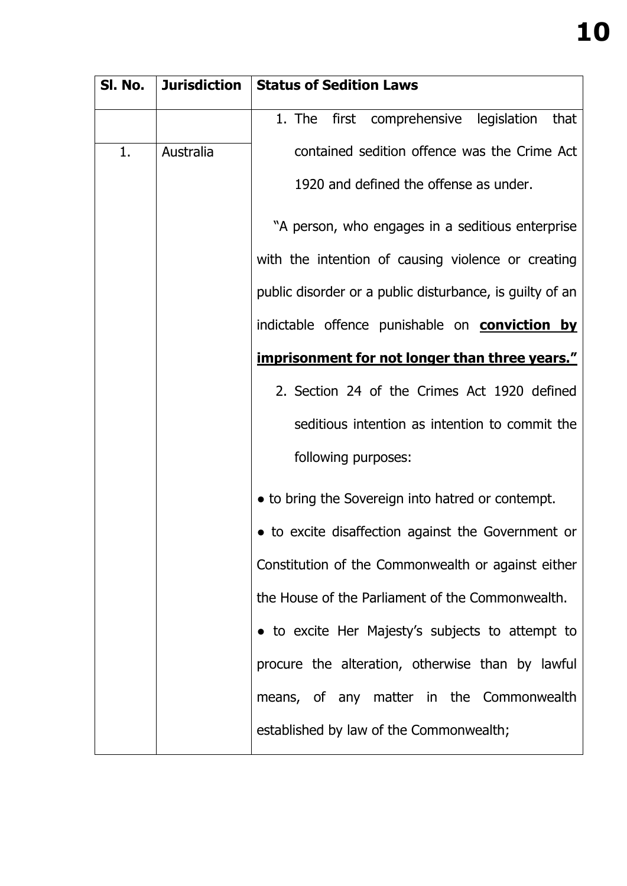| SI. No. | <b>Jurisdiction</b> | <b>Status of Sedition Laws</b>                           |
|---------|---------------------|----------------------------------------------------------|
|         |                     | 1. The first comprehensive legislation<br>that           |
| 1.      | Australia           | contained sedition offence was the Crime Act             |
|         |                     | 1920 and defined the offense as under.                   |
|         |                     | "A person, who engages in a seditious enterprise         |
|         |                     | with the intention of causing violence or creating       |
|         |                     | public disorder or a public disturbance, is guilty of an |
|         |                     | indictable offence punishable on <b>conviction by</b>    |
|         |                     | imprisonment for not longer than three years."           |
|         |                     | 2. Section 24 of the Crimes Act 1920 defined             |
|         |                     | seditious intention as intention to commit the           |
|         |                     | following purposes:                                      |
|         |                     | • to bring the Sovereign into hatred or contempt.        |
|         |                     | • to excite disaffection against the Government or       |
|         |                     | Constitution of the Commonwealth or against either       |
|         |                     | the House of the Parliament of the Commonwealth.         |
|         |                     | • to excite Her Majesty's subjects to attempt to         |
|         |                     | procure the alteration, otherwise than by lawful         |
|         |                     | means, of any matter in the Commonwealth                 |
|         |                     | established by law of the Commonwealth;                  |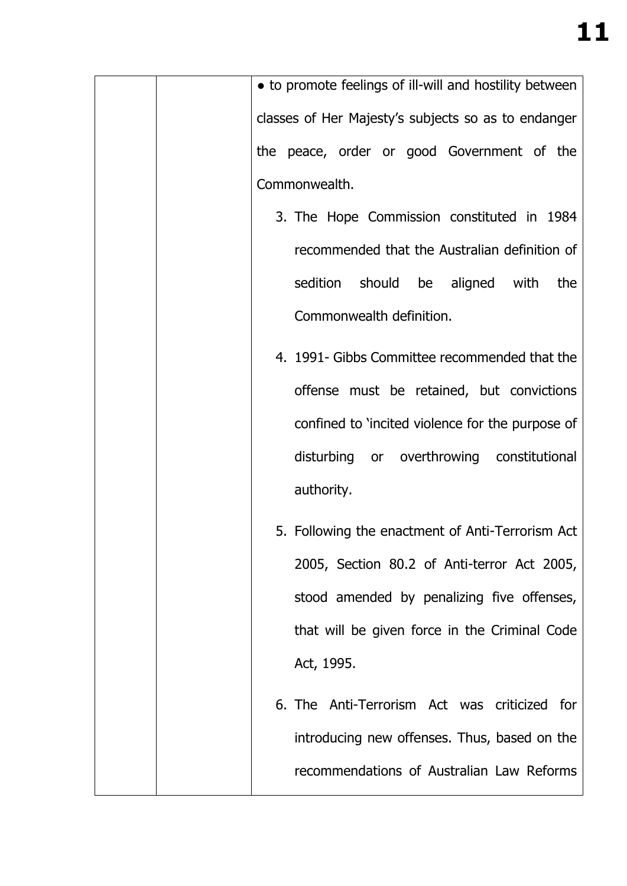| • to promote feelings of ill-will and hostility between |
|---------------------------------------------------------|
| classes of Her Majesty's subjects so as to endanger     |
| the peace, order or good Government of the              |
| Commonwealth.                                           |
| 3. The Hope Commission constituted in 1984              |
| recommended that the Australian definition of           |
| sedition should be aligned with<br>the                  |
| Commonwealth definition.                                |
| 4. 1991- Gibbs Committee recommended that the           |
| offense must be retained, but convictions               |
| confined to 'incited violence for the purpose of        |
| disturbing or overthrowing constitutional               |
| authority.                                              |
| 5. Following the enactment of Anti-Terrorism Act        |
| 2005, Section 80.2 of Anti-terror Act 2005,             |
| stood amended by penalizing five offenses,              |
| that will be given force in the Criminal Code           |
| Act, 1995.                                              |
| 6. The Anti-Terrorism Act was criticized<br>for         |
| introducing new offenses. Thus, based on the            |
| recommendations of Australian Law Reforms               |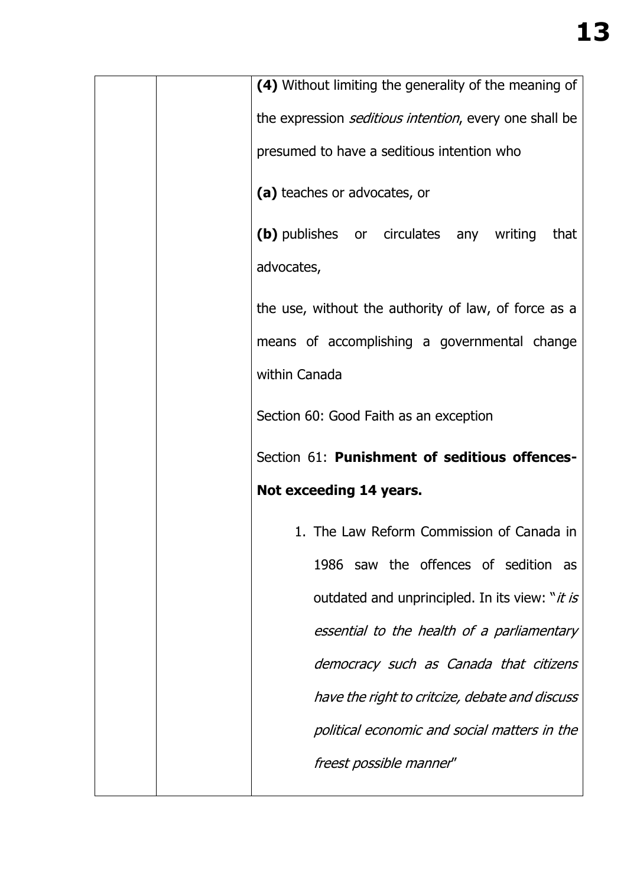|  | (4) Without limiting the generality of the meaning of          |
|--|----------------------------------------------------------------|
|  | the expression <i>seditious intention</i> , every one shall be |
|  | presumed to have a seditious intention who                     |
|  | (a) teaches or advocates, or                                   |
|  | (b) publishes or circulates any writing<br>that                |
|  | advocates,                                                     |
|  | the use, without the authority of law, of force as a           |
|  | means of accomplishing a governmental change                   |
|  | within Canada                                                  |
|  |                                                                |
|  | Section 60: Good Faith as an exception                         |
|  | Section 61: Punishment of seditious offences-                  |
|  | Not exceeding 14 years.                                        |
|  | 1. The Law Reform Commission of Canada in                      |
|  | 1986 saw the offences of sedition<br>as                        |
|  | outdated and unprincipled. In its view: "it is                 |
|  | essential to the health of a parliamentary                     |
|  | democracy such as Canada that citizens                         |
|  | have the right to critcize, debate and discuss                 |
|  |                                                                |
|  |                                                                |
|  | political economic and social matters in the                   |
|  | freest possible manner"                                        |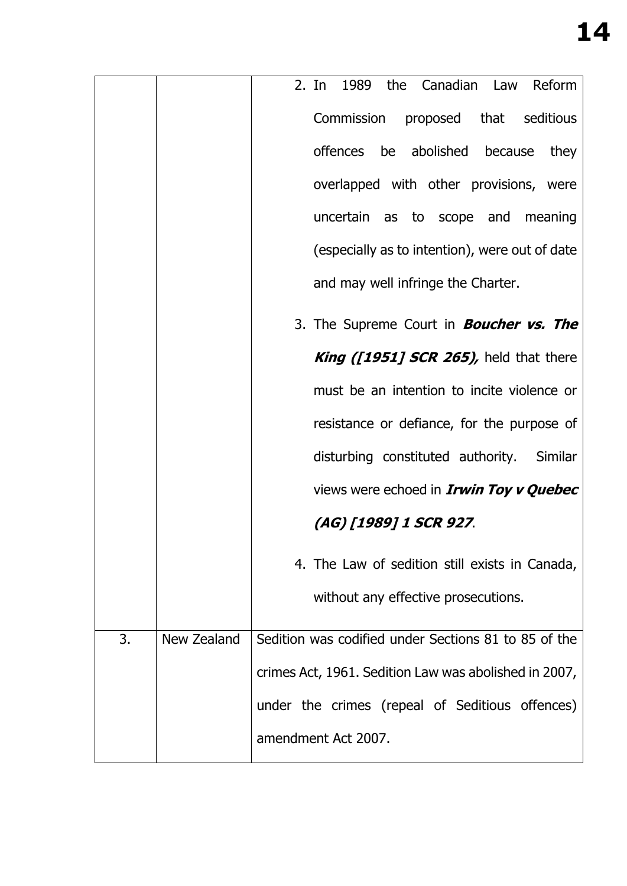|    |             | 2. In 1989 the Canadian Law Reform                    |
|----|-------------|-------------------------------------------------------|
|    |             | Commission proposed that seditious                    |
|    |             | offences be abolished because<br>they                 |
|    |             | overlapped with other provisions, were                |
|    |             | uncertain as to scope and meaning                     |
|    |             | (especially as to intention), were out of date        |
|    |             | and may well infringe the Charter.                    |
|    |             | 3. The Supreme Court in <b>Boucher vs. The</b>        |
|    |             |                                                       |
|    |             | <b>King ([1951] SCR 265)</b> , held that there        |
|    |             | must be an intention to incite violence or            |
|    |             | resistance or defiance, for the purpose of            |
|    |             | disturbing constituted authority. Similar             |
|    |             | views were echoed in <i>Irwin Toy v Quebec</i>        |
|    |             | (AG) [1989] 1 SCR 927.                                |
|    |             | 4. The Law of sedition still exists in Canada,        |
|    |             | without any effective prosecutions.                   |
|    |             |                                                       |
| 3. | New Zealand | Sedition was codified under Sections 81 to 85 of the  |
|    |             | crimes Act, 1961. Sedition Law was abolished in 2007, |
|    |             | under the crimes (repeal of Seditious offences)       |
|    |             | amendment Act 2007.                                   |
|    |             |                                                       |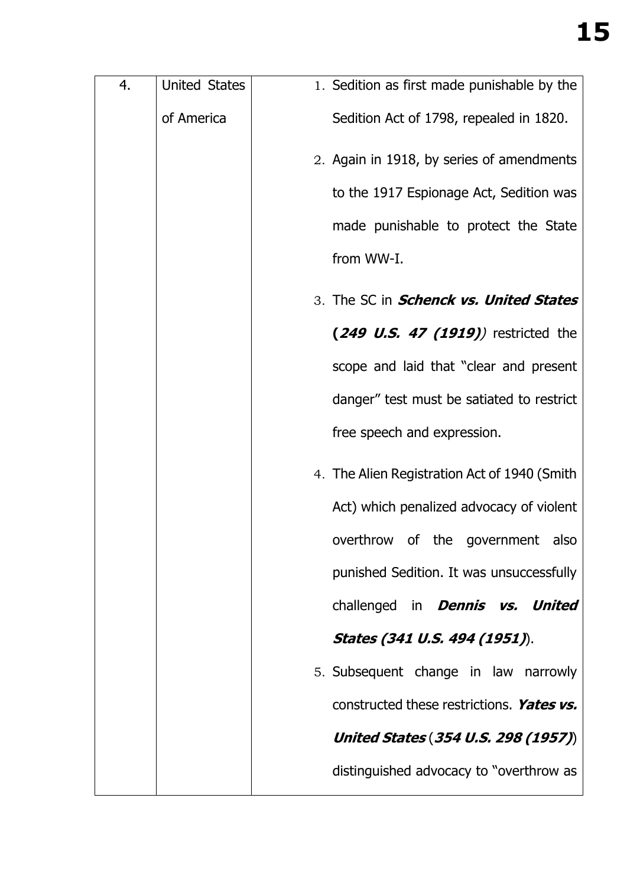| 4. | <b>United States</b> | 1. Sedition as first made punishable by the   |
|----|----------------------|-----------------------------------------------|
|    | of America           | Sedition Act of 1798, repealed in 1820.       |
|    |                      | 2. Again in 1918, by series of amendments     |
|    |                      | to the 1917 Espionage Act, Sedition was       |
|    |                      | made punishable to protect the State          |
|    |                      | from WW-I.                                    |
|    |                      | 3. The SC in <i>Schenck vs. United States</i> |
|    |                      | $(249$ U.S. 47 $(1919)$ ) restricted the      |
|    |                      | scope and laid that "clear and present        |
|    |                      | danger" test must be satiated to restrict     |
|    |                      | free speech and expression.                   |
|    |                      | 4. The Alien Registration Act of 1940 (Smith  |
|    |                      | Act) which penalized advocacy of violent      |
|    |                      | overthrow of the government also              |
|    |                      | punished Sedition. It was unsuccessfully      |
|    |                      | challenged in <b>Dennis vs. United</b>        |
|    |                      | States (341 U.S. 494 (1951)).                 |
|    |                      | 5. Subsequent change in law narrowly          |
|    |                      | constructed these restrictions. Yates vs.     |
|    |                      | United States (354 U.S. 298 (1957))           |
|    |                      | distinguished advocacy to "overthrow as       |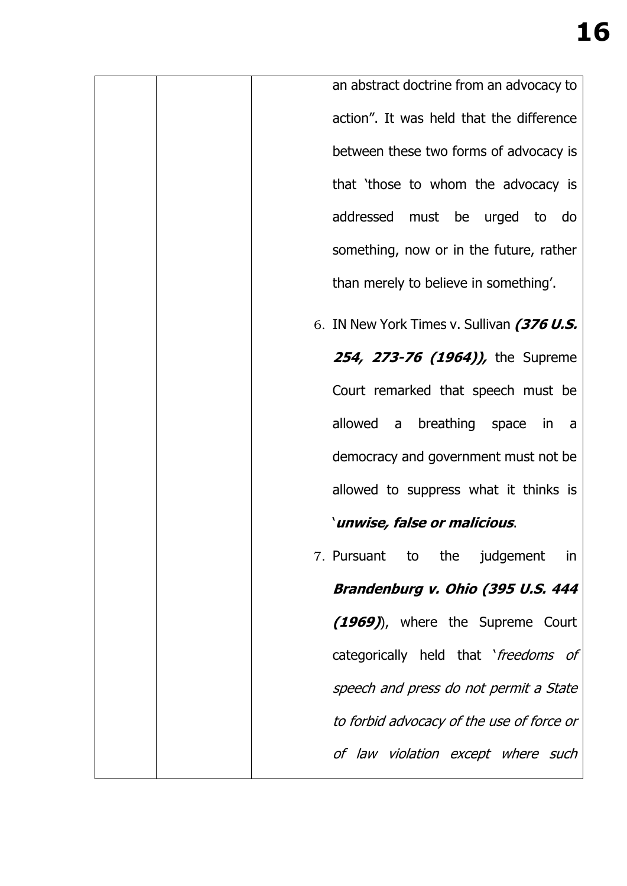an abstract doctrine from an advocacy to action". It was held that the difference between these two forms of advocacy is that 'those to whom the advocacy is addressed must be urged to do something, now or in the future, rather than merely to believe in something'.

6. IN New York Times v. Sullivan **(376 U.S. 254, 273-76 (1964)),** the Supreme Court remarked that speech must be allowed a breathing space in a democracy and government must not be allowed to suppress what it thinks is '**unwise, false or malicious**.

7. Pursuant to the judgement in **Brandenburg v. Ohio (395 U.S. 444 (1969)**), where the Supreme Court categorically held that 'freedoms of speech and press do not permit a State to forbid advocacy of the use of force or of law violation except where such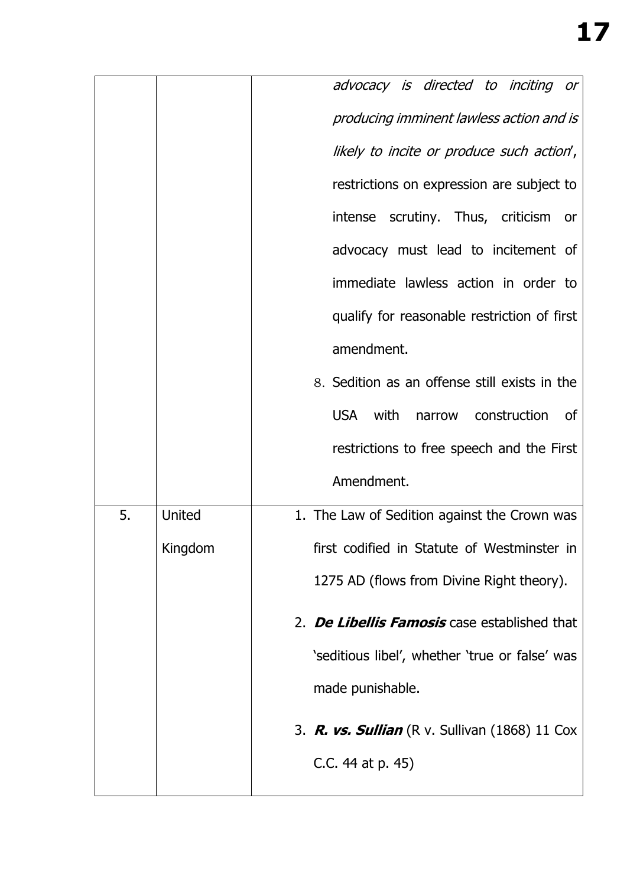|    |         | advocacy is directed to inciting or                   |
|----|---------|-------------------------------------------------------|
|    |         | producing imminent lawless action and is              |
|    |         | likely to incite or produce such action',             |
|    |         | restrictions on expression are subject to             |
|    |         | intense scrutiny. Thus, criticism or                  |
|    |         | advocacy must lead to incitement of                   |
|    |         | immediate lawless action in order to                  |
|    |         | qualify for reasonable restriction of first           |
|    |         | amendment.                                            |
|    |         | 8. Sedition as an offense still exists in the         |
|    |         | USA with narrow construction<br>of                    |
|    |         | restrictions to free speech and the First             |
|    |         | Amendment.                                            |
| 5. | United  | 1. The Law of Sedition against the Crown was          |
|    | Kingdom | first codified in Statute of Westminster in           |
|    |         | 1275 AD (flows from Divine Right theory).             |
|    |         | 2. De Libellis Famosis case established that          |
|    |         | 'seditious libel', whether 'true or false' was        |
|    |         | made punishable.                                      |
|    |         | 3. <b>R. vs. Sullian</b> (R v. Sullivan (1868) 11 Cox |
|    |         | C.C. 44 at p. 45)                                     |
|    |         |                                                       |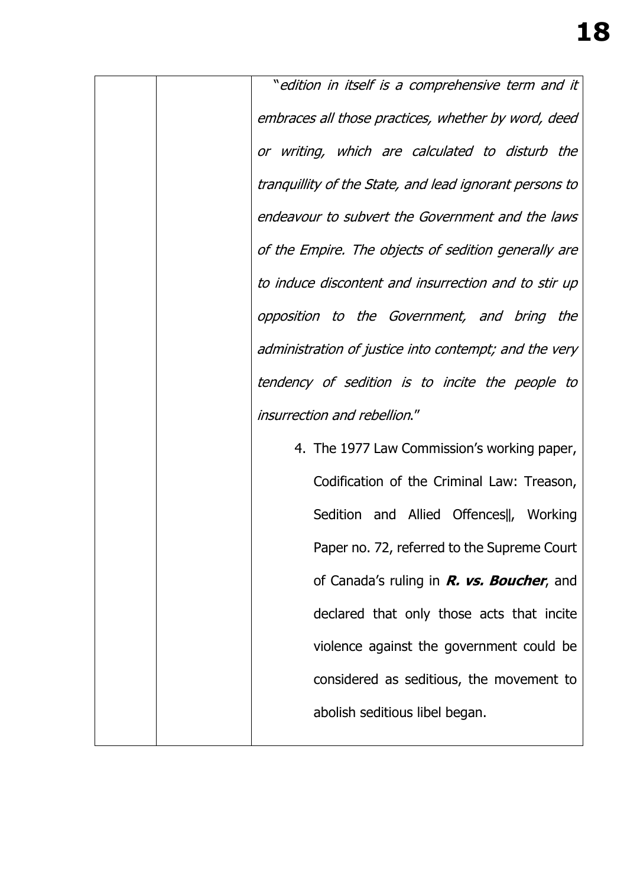| "edition in itself is a comprehensive term and it       |
|---------------------------------------------------------|
| embraces all those practices, whether by word, deed     |
| or writing, which are calculated to disturb the         |
| tranquillity of the State, and lead ignorant persons to |
| endeavour to subvert the Government and the laws        |
| of the Empire. The objects of sedition generally are    |
| to induce discontent and insurrection and to stir up    |
| opposition to the Government, and bring the             |
| administration of justice into contempt; and the very   |
| tendency of sedition is to incite the people to         |
| <i>insurrection and rebellion."</i>                     |
| 4. The 1977 Law Commission's working paper,             |
| Codification of the Criminal Law: Treason,              |
| Sedition and Allied Offences  , Working                 |
| Paper no. 72, referred to the Supreme Court             |
| of Canada's ruling in <b>R. vs. Boucher</b> , and       |
| declared that only those acts that incite               |
| violence against the government could be                |
| considered as seditious, the movement to                |
| abolish seditious libel began.                          |
|                                                         |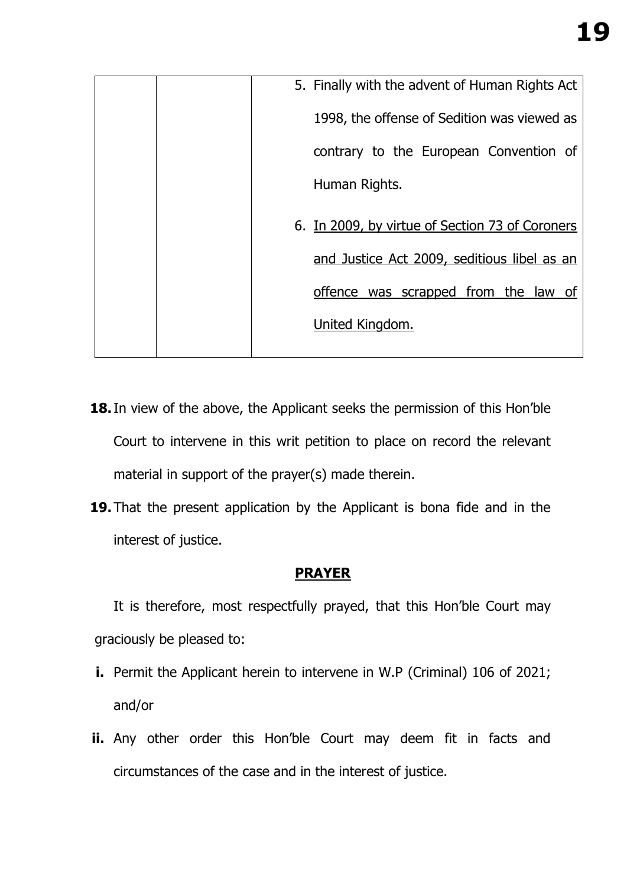|  | 5. Finally with the advent of Human Rights Act  |
|--|-------------------------------------------------|
|  | 1998, the offense of Sedition was viewed as     |
|  | contrary to the European Convention of          |
|  | Human Rights.                                   |
|  | 6. In 2009, by virtue of Section 73 of Coroners |
|  | and Justice Act 2009, seditious libel as an     |
|  | offence was scrapped from the law of            |
|  | United Kingdom.                                 |
|  |                                                 |

- **18.**In view of the above, the Applicant seeks the permission of this Hon'ble Court to intervene in this writ petition to place on record the relevant material in support of the prayer(s) made therein.
- **19.**That the present application by the Applicant is bona fide and in the interest of justice.

# **PRAYER**

It is therefore, most respectfully prayed, that this Hon'ble Court may graciously be pleased to:

- **i.** Permit the Applicant herein to intervene in W.P (Criminal) 106 of 2021; and/or
- **ii.** Any other order this Hon'ble Court may deem fit in facts and circumstances of the case and in the interest of justice.